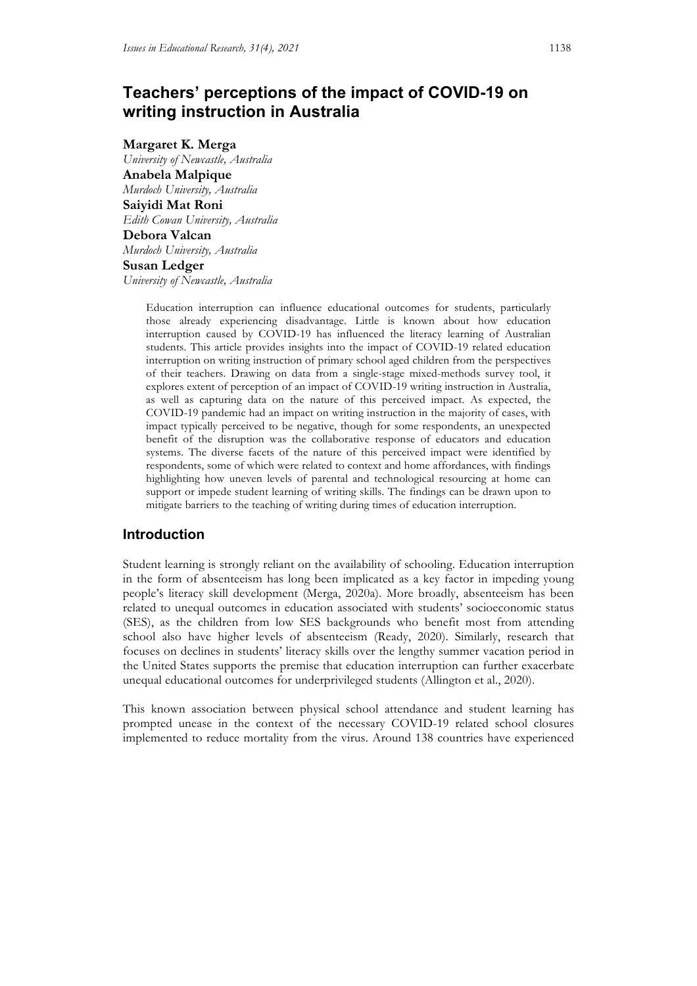# **Teachers' perceptions of the impact of COVID-19 on writing instruction in Australia**

**Margaret K. Merga** *University of Newcastle, Australia* **Anabela Malpique** *Murdoch University, Australia* **Saiyidi Mat Roni** *Edith Cowan University, Australia* **Debora Valcan** *Murdoch University, Australia* **Susan Ledger** *University of Newcastle, Australia*

> Education interruption can influence educational outcomes for students, particularly those already experiencing disadvantage. Little is known about how education interruption caused by COVID-19 has influenced the literacy learning of Australian students. This article provides insights into the impact of COVID-19 related education interruption on writing instruction of primary school aged children from the perspectives of their teachers. Drawing on data from a single-stage mixed-methods survey tool, it explores extent of perception of an impact of COVID-19 writing instruction in Australia, as well as capturing data on the nature of this perceived impact. As expected, the COVID-19 pandemic had an impact on writing instruction in the majority of cases, with impact typically perceived to be negative, though for some respondents, an unexpected benefit of the disruption was the collaborative response of educators and education systems. The diverse facets of the nature of this perceived impact were identified by respondents, some of which were related to context and home affordances, with findings highlighting how uneven levels of parental and technological resourcing at home can support or impede student learning of writing skills. The findings can be drawn upon to mitigate barriers to the teaching of writing during times of education interruption.

# **Introduction**

Student learning is strongly reliant on the availability of schooling. Education interruption in the form of absenteeism has long been implicated as a key factor in impeding young people's literacy skill development (Merga, 2020a). More broadly, absenteeism has been related to unequal outcomes in education associated with students' socioeconomic status (SES), as the children from low SES backgrounds who benefit most from attending school also have higher levels of absenteeism (Ready, 2020). Similarly, research that focuses on declines in students' literacy skills over the lengthy summer vacation period in the United States supports the premise that education interruption can further exacerbate unequal educational outcomes for underprivileged students (Allington et al., 2020).

This known association between physical school attendance and student learning has prompted unease in the context of the necessary COVID-19 related school closures implemented to reduce mortality from the virus. Around 138 countries have experienced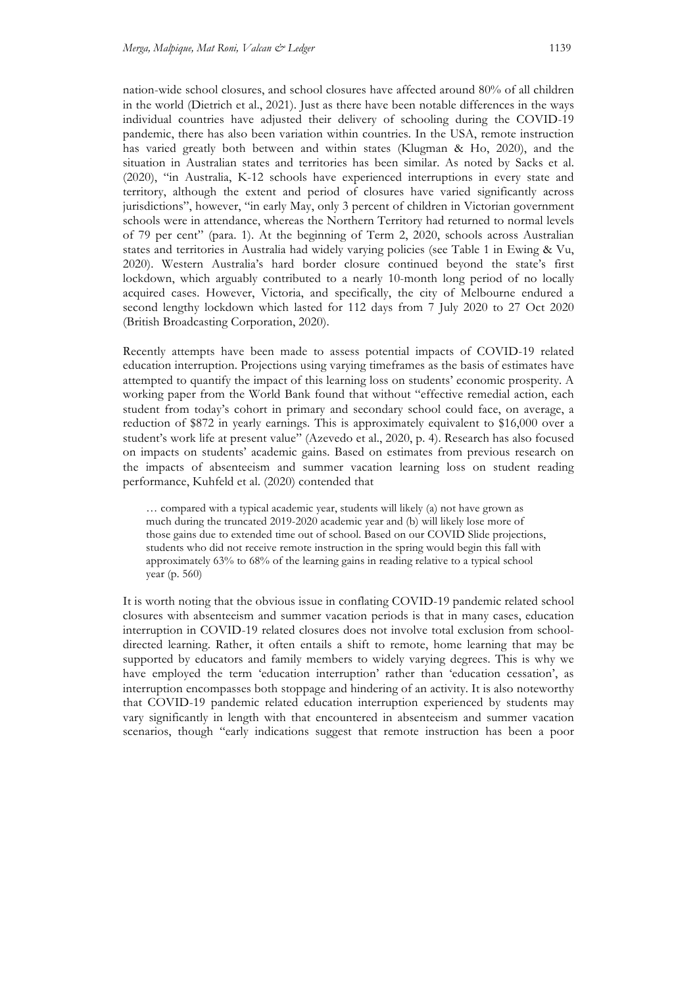nation-wide school closures, and school closures have affected around 80% of all children in the world (Dietrich et al., 2021). Just as there have been notable differences in the ways individual countries have adjusted their delivery of schooling during the COVID-19 pandemic, there has also been variation within countries. In the USA, remote instruction has varied greatly both between and within states (Klugman & Ho, 2020), and the situation in Australian states and territories has been similar. As noted by Sacks et al. (2020), "in Australia, K-12 schools have experienced interruptions in every state and territory, although the extent and period of closures have varied significantly across jurisdictions", however, "in early May, only 3 percent of children in Victorian government schools were in attendance, whereas the Northern Territory had returned to normal levels of 79 per cent" (para. 1). At the beginning of Term 2, 2020, schools across Australian states and territories in Australia had widely varying policies (see Table 1 in Ewing & Vu, 2020). Western Australia's hard border closure continued beyond the state's first lockdown, which arguably contributed to a nearly 10-month long period of no locally acquired cases. However, Victoria, and specifically, the city of Melbourne endured a second lengthy lockdown which lasted for 112 days from 7 July 2020 to 27 Oct 2020 (British Broadcasting Corporation, 2020).

Recently attempts have been made to assess potential impacts of COVID-19 related education interruption. Projections using varying timeframes as the basis of estimates have attempted to quantify the impact of this learning loss on students' economic prosperity. A working paper from the World Bank found that without "effective remedial action, each student from today's cohort in primary and secondary school could face, on average, a reduction of \$872 in yearly earnings. This is approximately equivalent to \$16,000 over a student's work life at present value" (Azevedo et al., 2020, p. 4). Research has also focused on impacts on students' academic gains. Based on estimates from previous research on the impacts of absenteeism and summer vacation learning loss on student reading performance, Kuhfeld et al. (2020) contended that

… compared with a typical academic year, students will likely (a) not have grown as much during the truncated 2019-2020 academic year and (b) will likely lose more of those gains due to extended time out of school. Based on our COVID Slide projections, students who did not receive remote instruction in the spring would begin this fall with approximately 63% to 68% of the learning gains in reading relative to a typical school year (p. 560)

It is worth noting that the obvious issue in conflating COVID-19 pandemic related school closures with absenteeism and summer vacation periods is that in many cases, education interruption in COVID-19 related closures does not involve total exclusion from schooldirected learning. Rather, it often entails a shift to remote, home learning that may be supported by educators and family members to widely varying degrees. This is why we have employed the term 'education interruption' rather than 'education cessation', as interruption encompasses both stoppage and hindering of an activity. It is also noteworthy that COVID-19 pandemic related education interruption experienced by students may vary significantly in length with that encountered in absenteeism and summer vacation scenarios, though "early indications suggest that remote instruction has been a poor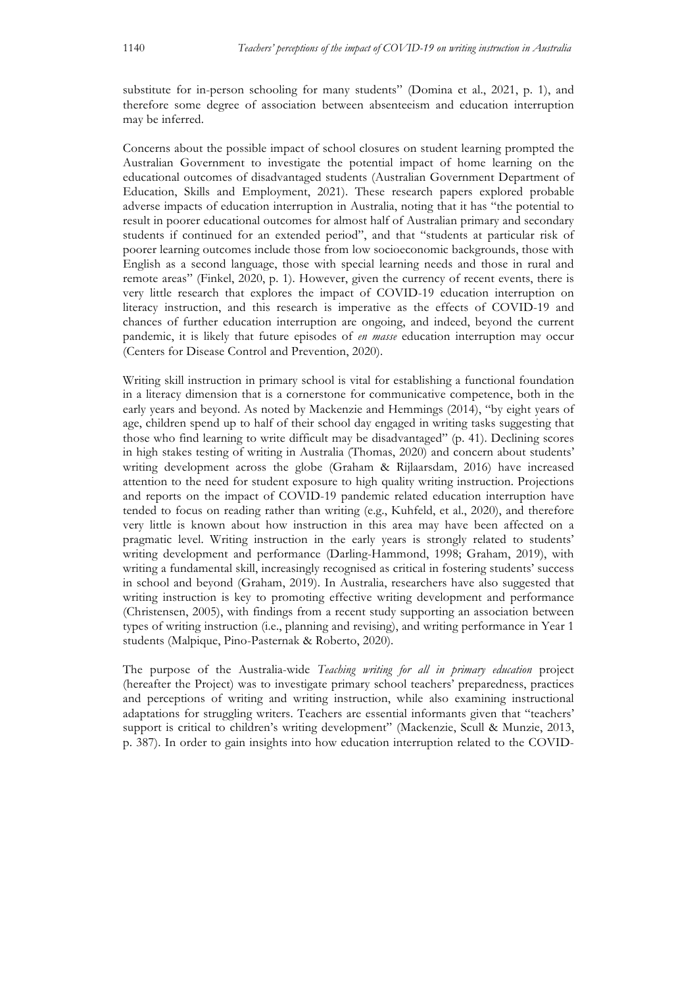substitute for in-person schooling for many students" (Domina et al., 2021, p. 1), and therefore some degree of association between absenteeism and education interruption may be inferred.

Concerns about the possible impact of school closures on student learning prompted the Australian Government to investigate the potential impact of home learning on the educational outcomes of disadvantaged students (Australian Government Department of Education, Skills and Employment, 2021). These research papers explored probable adverse impacts of education interruption in Australia, noting that it has "the potential to result in poorer educational outcomes for almost half of Australian primary and secondary students if continued for an extended period", and that "students at particular risk of poorer learning outcomes include those from low socioeconomic backgrounds, those with English as a second language, those with special learning needs and those in rural and remote areas" (Finkel, 2020, p. 1). However, given the currency of recent events, there is very little research that explores the impact of COVID-19 education interruption on literacy instruction, and this research is imperative as the effects of COVID-19 and chances of further education interruption are ongoing, and indeed, beyond the current pandemic, it is likely that future episodes of *en masse* education interruption may occur (Centers for Disease Control and Prevention, 2020).

Writing skill instruction in primary school is vital for establishing a functional foundation in a literacy dimension that is a cornerstone for communicative competence, both in the early years and beyond. As noted by Mackenzie and Hemmings (2014), "by eight years of age, children spend up to half of their school day engaged in writing tasks suggesting that those who find learning to write difficult may be disadvantaged" (p. 41). Declining scores in high stakes testing of writing in Australia (Thomas, 2020) and concern about students' writing development across the globe (Graham & Rijlaarsdam, 2016) have increased attention to the need for student exposure to high quality writing instruction. Projections and reports on the impact of COVID-19 pandemic related education interruption have tended to focus on reading rather than writing (e.g., Kuhfeld, et al., 2020), and therefore very little is known about how instruction in this area may have been affected on a pragmatic level. Writing instruction in the early years is strongly related to students' writing development and performance (Darling-Hammond, 1998; Graham, 2019), with writing a fundamental skill, increasingly recognised as critical in fostering students' success in school and beyond (Graham, 2019). In Australia, researchers have also suggested that writing instruction is key to promoting effective writing development and performance (Christensen, 2005), with findings from a recent study supporting an association between types of writing instruction (i.e., planning and revising), and writing performance in Year 1 students (Malpique, Pino-Pasternak & Roberto, 2020).

The purpose of the Australia-wide *Teaching writing for all in primary education* project (hereafter the Project) was to investigate primary school teachers' preparedness, practices and perceptions of writing and writing instruction, while also examining instructional adaptations for struggling writers. Teachers are essential informants given that "teachers' support is critical to children's writing development" (Mackenzie, Scull & Munzie, 2013, p. 387). In order to gain insights into how education interruption related to the COVID-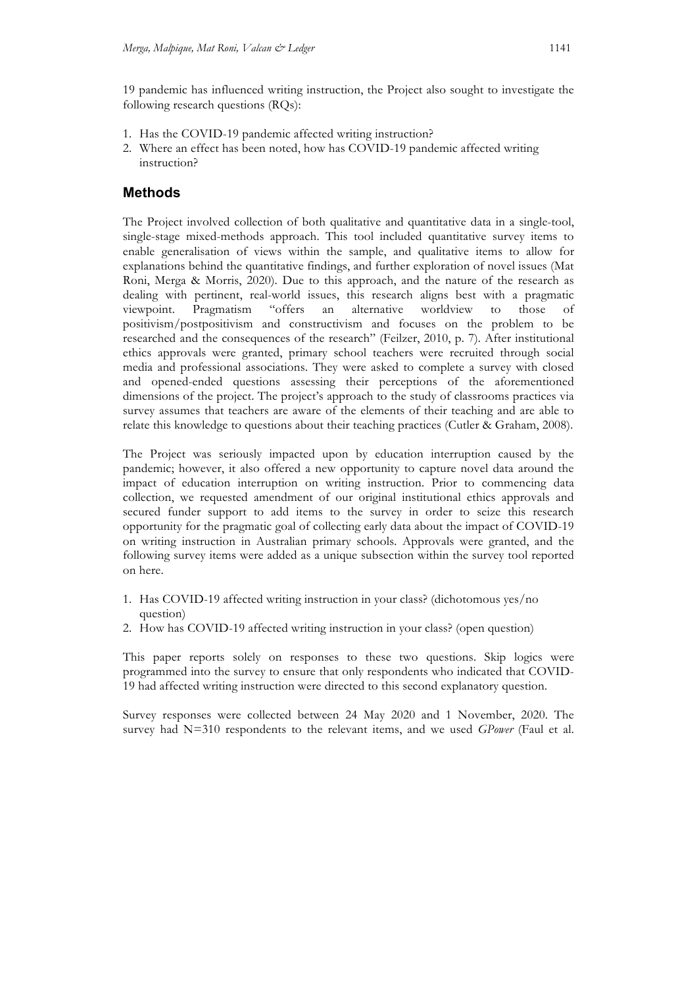19 pandemic has influenced writing instruction, the Project also sought to investigate the following research questions (RQs):

- 1. Has the COVID-19 pandemic affected writing instruction?
- 2. Where an effect has been noted, how has COVID-19 pandemic affected writing instruction?

## **Methods**

The Project involved collection of both qualitative and quantitative data in a single-tool, single-stage mixed-methods approach. This tool included quantitative survey items to enable generalisation of views within the sample, and qualitative items to allow for explanations behind the quantitative findings, and further exploration of novel issues (Mat Roni, Merga & Morris, 2020). Due to this approach, and the nature of the research as dealing with pertinent, real-world issues, this research aligns best with a pragmatic viewpoint. Pragmatism "offers an alternative worldview to those of positivism/postpositivism and constructivism and focuses on the problem to be researched and the consequences of the research" (Feilzer, 2010, p. 7). After institutional ethics approvals were granted, primary school teachers were recruited through social media and professional associations. They were asked to complete a survey with closed and opened-ended questions assessing their perceptions of the aforementioned dimensions of the project. The project's approach to the study of classrooms practices via survey assumes that teachers are aware of the elements of their teaching and are able to relate this knowledge to questions about their teaching practices (Cutler & Graham, 2008).

The Project was seriously impacted upon by education interruption caused by the pandemic; however, it also offered a new opportunity to capture novel data around the impact of education interruption on writing instruction. Prior to commencing data collection, we requested amendment of our original institutional ethics approvals and secured funder support to add items to the survey in order to seize this research opportunity for the pragmatic goal of collecting early data about the impact of COVID-19 on writing instruction in Australian primary schools. Approvals were granted, and the following survey items were added as a unique subsection within the survey tool reported on here.

- 1. Has COVID-19 affected writing instruction in your class? (dichotomous yes/no question)
- 2. How has COVID-19 affected writing instruction in your class? (open question)

This paper reports solely on responses to these two questions. Skip logics were programmed into the survey to ensure that only respondents who indicated that COVID-19 had affected writing instruction were directed to this second explanatory question.

Survey responses were collected between 24 May 2020 and 1 November, 2020. The survey had N=310 respondents to the relevant items, and we used *GPower* (Faul et al.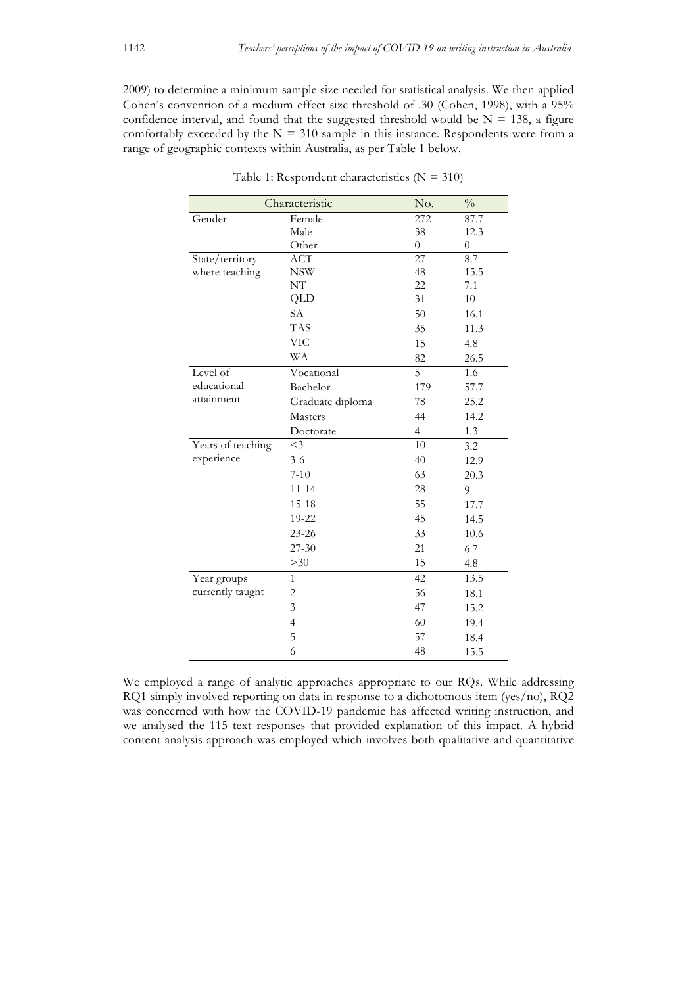2009) to determine a minimum sample size needed for statistical analysis. We then applied Cohen's convention of a medium effect size threshold of .30 (Cohen, 1998), with a 95% confidence interval, and found that the suggested threshold would be  $N = 138$ , a figure comfortably exceeded by the  $N = 310$  sample in this instance. Respondents were from a range of geographic contexts within Australia, as per Table 1 below.

| Gender<br>Female<br>272<br>87.7<br>Male<br>38<br>12.3<br>Other<br>$\overline{0}$<br>$\boldsymbol{0}$<br>$\overline{27}$<br>8.7<br>ACT<br>State/territory<br>48<br>where teaching<br><b>NSW</b><br>15.5<br>NT<br>22<br>7.1<br>QLD<br>31<br>10<br><b>SA</b><br>50<br>16.1<br><b>TAS</b><br>35<br>11.3<br><b>VIC</b><br>15<br>4.8<br>WA<br>82<br>26.5<br>Level of<br>$\overline{5}$<br>Vocational<br>1.6<br>educational<br>Bachelor<br>179<br>57.7<br>attainment<br>Graduate diploma<br>78<br>25.2<br>44<br>Masters<br>14.2<br>$\overline{4}$<br>1.3<br>Doctorate<br>Years of teaching<br>10<br>$<$ 3<br>3.2<br>experience<br>40<br>$3-6$<br>12.9<br>$7 - 10$<br>63<br>20.3<br>28<br>$11 - 14$<br>9<br>55<br>$15 - 18$<br>17.7<br>45<br>19-22<br>14.5<br>$23 - 26$<br>33<br>10.6<br>$27 - 30$<br>21<br>6.7<br>15<br>>30<br>4.8<br>42<br>Year groups<br>13.5<br>$\mathbf{1}$<br>currently taught<br>56<br>2<br>18.1<br>3<br>47<br>15.2<br>$\overline{4}$<br>60<br>19.4<br>5<br>57<br>18.4<br>6<br>48<br>15.5 | Characteristic |  | No. | $\frac{0}{0}$ |
|----------------------------------------------------------------------------------------------------------------------------------------------------------------------------------------------------------------------------------------------------------------------------------------------------------------------------------------------------------------------------------------------------------------------------------------------------------------------------------------------------------------------------------------------------------------------------------------------------------------------------------------------------------------------------------------------------------------------------------------------------------------------------------------------------------------------------------------------------------------------------------------------------------------------------------------------------------------------------------------------------------|----------------|--|-----|---------------|
|                                                                                                                                                                                                                                                                                                                                                                                                                                                                                                                                                                                                                                                                                                                                                                                                                                                                                                                                                                                                          |                |  |     |               |
|                                                                                                                                                                                                                                                                                                                                                                                                                                                                                                                                                                                                                                                                                                                                                                                                                                                                                                                                                                                                          |                |  |     |               |
|                                                                                                                                                                                                                                                                                                                                                                                                                                                                                                                                                                                                                                                                                                                                                                                                                                                                                                                                                                                                          |                |  |     |               |
|                                                                                                                                                                                                                                                                                                                                                                                                                                                                                                                                                                                                                                                                                                                                                                                                                                                                                                                                                                                                          |                |  |     |               |
|                                                                                                                                                                                                                                                                                                                                                                                                                                                                                                                                                                                                                                                                                                                                                                                                                                                                                                                                                                                                          |                |  |     |               |
|                                                                                                                                                                                                                                                                                                                                                                                                                                                                                                                                                                                                                                                                                                                                                                                                                                                                                                                                                                                                          |                |  |     |               |
|                                                                                                                                                                                                                                                                                                                                                                                                                                                                                                                                                                                                                                                                                                                                                                                                                                                                                                                                                                                                          |                |  |     |               |
|                                                                                                                                                                                                                                                                                                                                                                                                                                                                                                                                                                                                                                                                                                                                                                                                                                                                                                                                                                                                          |                |  |     |               |
|                                                                                                                                                                                                                                                                                                                                                                                                                                                                                                                                                                                                                                                                                                                                                                                                                                                                                                                                                                                                          |                |  |     |               |
|                                                                                                                                                                                                                                                                                                                                                                                                                                                                                                                                                                                                                                                                                                                                                                                                                                                                                                                                                                                                          |                |  |     |               |
|                                                                                                                                                                                                                                                                                                                                                                                                                                                                                                                                                                                                                                                                                                                                                                                                                                                                                                                                                                                                          |                |  |     |               |
|                                                                                                                                                                                                                                                                                                                                                                                                                                                                                                                                                                                                                                                                                                                                                                                                                                                                                                                                                                                                          |                |  |     |               |
|                                                                                                                                                                                                                                                                                                                                                                                                                                                                                                                                                                                                                                                                                                                                                                                                                                                                                                                                                                                                          |                |  |     |               |
|                                                                                                                                                                                                                                                                                                                                                                                                                                                                                                                                                                                                                                                                                                                                                                                                                                                                                                                                                                                                          |                |  |     |               |
|                                                                                                                                                                                                                                                                                                                                                                                                                                                                                                                                                                                                                                                                                                                                                                                                                                                                                                                                                                                                          |                |  |     |               |
|                                                                                                                                                                                                                                                                                                                                                                                                                                                                                                                                                                                                                                                                                                                                                                                                                                                                                                                                                                                                          |                |  |     |               |
|                                                                                                                                                                                                                                                                                                                                                                                                                                                                                                                                                                                                                                                                                                                                                                                                                                                                                                                                                                                                          |                |  |     |               |
|                                                                                                                                                                                                                                                                                                                                                                                                                                                                                                                                                                                                                                                                                                                                                                                                                                                                                                                                                                                                          |                |  |     |               |
|                                                                                                                                                                                                                                                                                                                                                                                                                                                                                                                                                                                                                                                                                                                                                                                                                                                                                                                                                                                                          |                |  |     |               |
|                                                                                                                                                                                                                                                                                                                                                                                                                                                                                                                                                                                                                                                                                                                                                                                                                                                                                                                                                                                                          |                |  |     |               |
|                                                                                                                                                                                                                                                                                                                                                                                                                                                                                                                                                                                                                                                                                                                                                                                                                                                                                                                                                                                                          |                |  |     |               |
|                                                                                                                                                                                                                                                                                                                                                                                                                                                                                                                                                                                                                                                                                                                                                                                                                                                                                                                                                                                                          |                |  |     |               |
|                                                                                                                                                                                                                                                                                                                                                                                                                                                                                                                                                                                                                                                                                                                                                                                                                                                                                                                                                                                                          |                |  |     |               |
|                                                                                                                                                                                                                                                                                                                                                                                                                                                                                                                                                                                                                                                                                                                                                                                                                                                                                                                                                                                                          |                |  |     |               |
|                                                                                                                                                                                                                                                                                                                                                                                                                                                                                                                                                                                                                                                                                                                                                                                                                                                                                                                                                                                                          |                |  |     |               |
|                                                                                                                                                                                                                                                                                                                                                                                                                                                                                                                                                                                                                                                                                                                                                                                                                                                                                                                                                                                                          |                |  |     |               |
|                                                                                                                                                                                                                                                                                                                                                                                                                                                                                                                                                                                                                                                                                                                                                                                                                                                                                                                                                                                                          |                |  |     |               |
|                                                                                                                                                                                                                                                                                                                                                                                                                                                                                                                                                                                                                                                                                                                                                                                                                                                                                                                                                                                                          |                |  |     |               |
|                                                                                                                                                                                                                                                                                                                                                                                                                                                                                                                                                                                                                                                                                                                                                                                                                                                                                                                                                                                                          |                |  |     |               |
|                                                                                                                                                                                                                                                                                                                                                                                                                                                                                                                                                                                                                                                                                                                                                                                                                                                                                                                                                                                                          |                |  |     |               |
|                                                                                                                                                                                                                                                                                                                                                                                                                                                                                                                                                                                                                                                                                                                                                                                                                                                                                                                                                                                                          |                |  |     |               |

Table 1: Respondent characteristics ( $N = 310$ )

We employed a range of analytic approaches appropriate to our RQs. While addressing RQ1 simply involved reporting on data in response to a dichotomous item (yes/no), RQ2 was concerned with how the COVID-19 pandemic has affected writing instruction, and we analysed the 115 text responses that provided explanation of this impact. A hybrid content analysis approach was employed which involves both qualitative and quantitative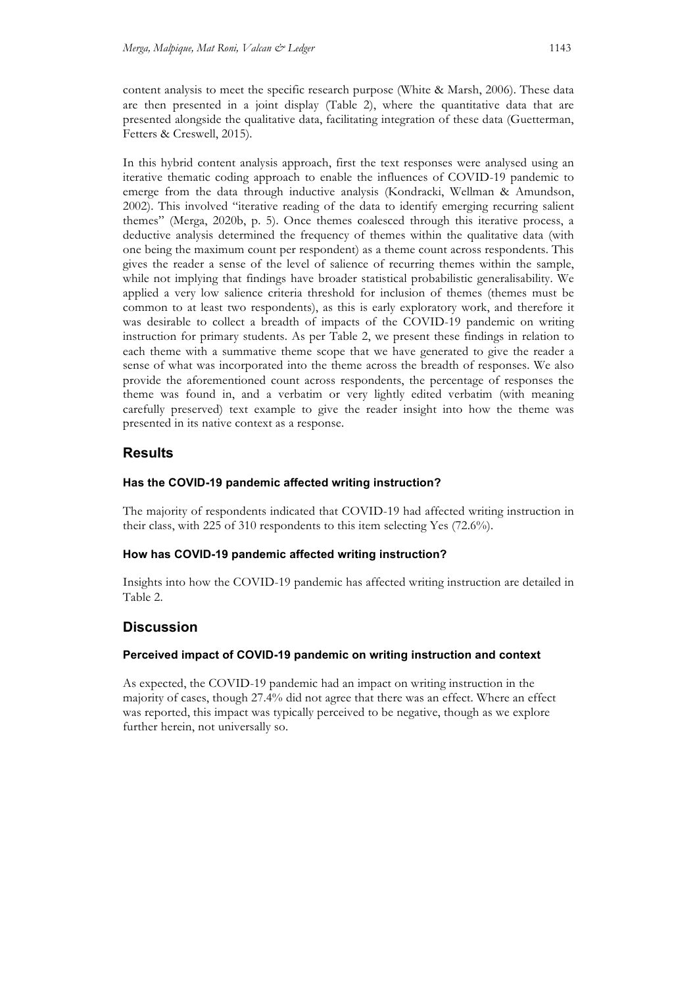content analysis to meet the specific research purpose (White & Marsh, 2006). These data are then presented in a joint display (Table 2), where the quantitative data that are presented alongside the qualitative data, facilitating integration of these data (Guetterman, Fetters & Creswell, 2015).

In this hybrid content analysis approach, first the text responses were analysed using an iterative thematic coding approach to enable the influences of COVID-19 pandemic to emerge from the data through inductive analysis (Kondracki, Wellman & Amundson, 2002). This involved "iterative reading of the data to identify emerging recurring salient themes" (Merga, 2020b, p. 5). Once themes coalesced through this iterative process, a deductive analysis determined the frequency of themes within the qualitative data (with one being the maximum count per respondent) as a theme count across respondents. This gives the reader a sense of the level of salience of recurring themes within the sample, while not implying that findings have broader statistical probabilistic generalisability. We applied a very low salience criteria threshold for inclusion of themes (themes must be common to at least two respondents), as this is early exploratory work, and therefore it was desirable to collect a breadth of impacts of the COVID-19 pandemic on writing instruction for primary students. As per Table 2, we present these findings in relation to each theme with a summative theme scope that we have generated to give the reader a sense of what was incorporated into the theme across the breadth of responses. We also provide the aforementioned count across respondents, the percentage of responses the theme was found in, and a verbatim or very lightly edited verbatim (with meaning carefully preserved) text example to give the reader insight into how the theme was presented in its native context as a response.

## **Results**

### **Has the COVID-19 pandemic affected writing instruction?**

The majority of respondents indicated that COVID-19 had affected writing instruction in their class, with 225 of 310 respondents to this item selecting Yes (72.6%).

#### **How has COVID-19 pandemic affected writing instruction?**

Insights into how the COVID-19 pandemic has affected writing instruction are detailed in Table 2.

# **Discussion**

#### **Perceived impact of COVID-19 pandemic on writing instruction and context**

As expected, the COVID-19 pandemic had an impact on writing instruction in the majority of cases, though 27.4% did not agree that there was an effect. Where an effect was reported, this impact was typically perceived to be negative, though as we explore further herein, not universally so.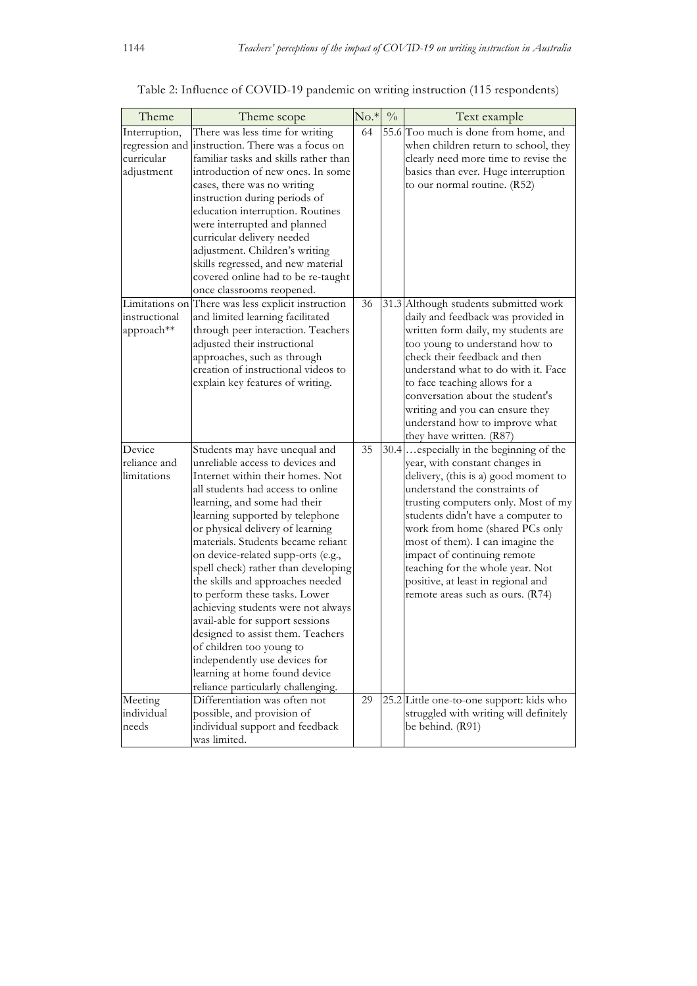| Theme         | Theme scope                                        | $No.*$ | $\sqrt[0]{\phantom{.}}_0$ | Text example                             |
|---------------|----------------------------------------------------|--------|---------------------------|------------------------------------------|
| Interruption, | There was less time for writing                    | 64     |                           | 55.6 Too much is done from home, and     |
|               | regression and instruction. There was a focus on   |        |                           | when children return to school, they     |
| curricular    | familiar tasks and skills rather than              |        |                           | clearly need more time to revise the     |
| adjustment    | introduction of new ones. In some                  |        |                           | basics than ever. Huge interruption      |
|               | cases, there was no writing                        |        |                           | to our normal routine. (R52)             |
|               | instruction during periods of                      |        |                           |                                          |
|               | education interruption. Routines                   |        |                           |                                          |
|               | were interrupted and planned                       |        |                           |                                          |
|               | curricular delivery needed                         |        |                           |                                          |
|               | adjustment. Children's writing                     |        |                           |                                          |
|               | skills regressed, and new material                 |        |                           |                                          |
|               | covered online had to be re-taught                 |        |                           |                                          |
|               | once classrooms reopened.                          |        |                           |                                          |
|               | Limitations on There was less explicit instruction | 36     |                           | 31.3 Although students submitted work    |
| instructional | and limited learning facilitated                   |        |                           | daily and feedback was provided in       |
| approach**    | through peer interaction. Teachers                 |        |                           | written form daily, my students are      |
|               | adjusted their instructional                       |        |                           | too young to understand how to           |
|               | approaches, such as through                        |        |                           | check their feedback and then            |
|               | creation of instructional videos to                |        |                           | understand what to do with it. Face      |
|               | explain key features of writing.                   |        |                           | to face teaching allows for a            |
|               |                                                    |        |                           | conversation about the student's         |
|               |                                                    |        |                           | writing and you can ensure they          |
|               |                                                    |        |                           | understand how to improve what           |
|               |                                                    |        |                           | they have written. (R87)                 |
| Device        | Students may have unequal and                      | 35     |                           | 30.4. especially in the beginning of the |
| reliance and  | unreliable access to devices and                   |        |                           | year, with constant changes in           |
| limitations   | Internet within their homes. Not                   |        |                           | delivery, (this is a) good moment to     |
|               | all students had access to online                  |        |                           | understand the constraints of            |
|               | learning, and some had their                       |        |                           | trusting computers only. Most of my      |
|               | learning supported by telephone                    |        |                           | students didn't have a computer to       |
|               | or physical delivery of learning                   |        |                           | work from home (shared PCs only          |
|               | materials. Students became reliant                 |        |                           | most of them). I can imagine the         |
|               | on device-related supp-orts (e.g.,                 |        |                           | impact of continuing remote              |
|               | spell check) rather than developing                |        |                           | teaching for the whole year. Not         |
|               | the skills and approaches needed                   |        |                           | positive, at least in regional and       |
|               | to perform these tasks. Lower                      |        |                           | remote areas such as ours. (R74)         |
|               | achieving students were not always                 |        |                           |                                          |
|               | avail-able for support sessions                    |        |                           |                                          |
|               | designed to assist them. Teachers                  |        |                           |                                          |
|               | of children too young to                           |        |                           |                                          |
|               | independently use devices for                      |        |                           |                                          |
|               | learning at home found device                      |        |                           |                                          |
|               | reliance particularly challenging.                 |        |                           |                                          |
| Meeting       | Differentiation was often not                      | 29     |                           | 25.2 Little one-to-one support: kids who |
| individual    | possible, and provision of                         |        |                           | struggled with writing will definitely   |
| needs         | individual support and feedback                    |        |                           | be behind. (R91)                         |
|               | was limited.                                       |        |                           |                                          |

# Table 2: Influence of COVID-19 pandemic on writing instruction (115 respondents)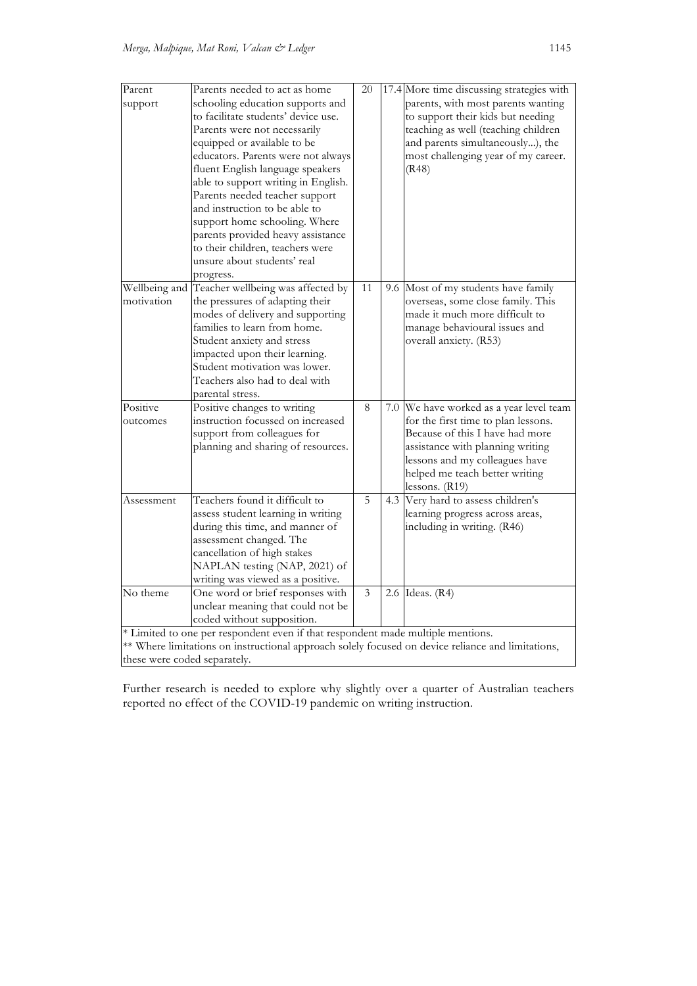| Parent                       | Parents needed to act as home                                                                     | 20 |  | 17.4 More time discussing strategies with                           |  |
|------------------------------|---------------------------------------------------------------------------------------------------|----|--|---------------------------------------------------------------------|--|
| support                      | schooling education supports and                                                                  |    |  | parents, with most parents wanting                                  |  |
|                              | to facilitate students' device use.                                                               |    |  | to support their kids but needing                                   |  |
|                              | Parents were not necessarily                                                                      |    |  | teaching as well (teaching children                                 |  |
|                              | equipped or available to be                                                                       |    |  | and parents simultaneously), the                                    |  |
|                              | educators. Parents were not always                                                                |    |  | most challenging year of my career.                                 |  |
|                              | fluent English language speakers                                                                  |    |  | (R48)                                                               |  |
|                              | able to support writing in English.                                                               |    |  |                                                                     |  |
|                              | Parents needed teacher support                                                                    |    |  |                                                                     |  |
|                              | and instruction to be able to                                                                     |    |  |                                                                     |  |
|                              | support home schooling. Where                                                                     |    |  |                                                                     |  |
|                              | parents provided heavy assistance                                                                 |    |  |                                                                     |  |
|                              | to their children, teachers were                                                                  |    |  |                                                                     |  |
|                              | unsure about students' real                                                                       |    |  |                                                                     |  |
|                              | progress.                                                                                         |    |  |                                                                     |  |
| Wellbeing and                | Teacher wellbeing was affected by                                                                 | 11 |  | 9.6 Most of my students have family                                 |  |
| motivation                   | the pressures of adapting their                                                                   |    |  | overseas, some close family. This<br>made it much more difficult to |  |
|                              | modes of delivery and supporting<br>families to learn from home.                                  |    |  |                                                                     |  |
|                              | Student anxiety and stress                                                                        |    |  | manage behavioural issues and<br>overall anxiety. (R53)             |  |
|                              | impacted upon their learning.                                                                     |    |  |                                                                     |  |
|                              | Student motivation was lower.                                                                     |    |  |                                                                     |  |
|                              | Teachers also had to deal with                                                                    |    |  |                                                                     |  |
|                              | parental stress.                                                                                  |    |  |                                                                     |  |
| Positive                     | Positive changes to writing                                                                       | 8  |  | 7.0 We have worked as a year level team                             |  |
| outcomes                     | instruction focussed on increased                                                                 |    |  | for the first time to plan lessons.                                 |  |
|                              | support from colleagues for                                                                       |    |  | Because of this I have had more                                     |  |
|                              | planning and sharing of resources.                                                                |    |  | assistance with planning writing                                    |  |
|                              |                                                                                                   |    |  | lessons and my colleagues have                                      |  |
|                              |                                                                                                   |    |  | helped me teach better writing                                      |  |
|                              |                                                                                                   |    |  | lessons. $(R19)$                                                    |  |
| Assessment                   | Teachers found it difficult to                                                                    | 5  |  | 4.3 Very hard to assess children's                                  |  |
|                              | assess student learning in writing                                                                |    |  | learning progress across areas,                                     |  |
|                              | during this time, and manner of                                                                   |    |  | including in writing. (R46)                                         |  |
|                              | assessment changed. The                                                                           |    |  |                                                                     |  |
|                              | cancellation of high stakes                                                                       |    |  |                                                                     |  |
|                              | NAPLAN testing (NAP, 2021) of                                                                     |    |  |                                                                     |  |
|                              | writing was viewed as a positive.                                                                 |    |  |                                                                     |  |
| No theme                     | One word or brief responses with                                                                  | 3  |  | 2.6 Ideas. (R4)                                                     |  |
|                              | unclear meaning that could not be                                                                 |    |  |                                                                     |  |
|                              | coded without supposition.                                                                        |    |  |                                                                     |  |
|                              | * Limited to one per respondent even if that respondent made multiple mentions.                   |    |  |                                                                     |  |
|                              | ** Where limitations on instructional approach solely focused on device reliance and limitations, |    |  |                                                                     |  |
| these were coded separately. |                                                                                                   |    |  |                                                                     |  |

Further research is needed to explore why slightly over a quarter of Australian teachers reported no effect of the COVID-19 pandemic on writing instruction.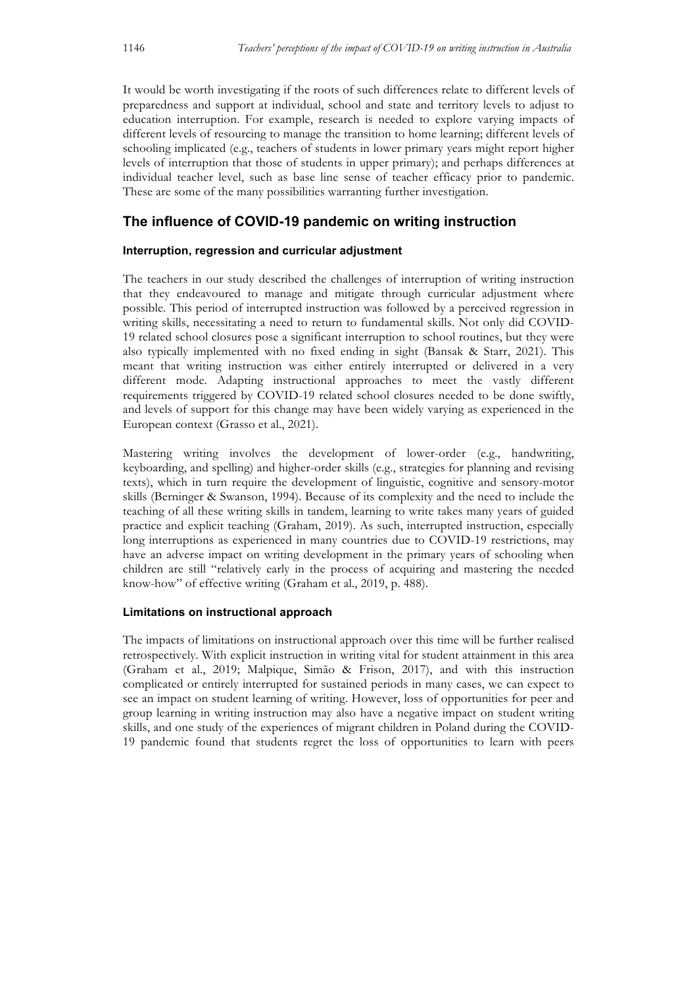It would be worth investigating if the roots of such differences relate to different levels of preparedness and support at individual, school and state and territory levels to adjust to education interruption. For example, research is needed to explore varying impacts of different levels of resourcing to manage the transition to home learning; different levels of schooling implicated (e.g., teachers of students in lower primary years might report higher levels of interruption that those of students in upper primary); and perhaps differences at individual teacher level, such as base line sense of teacher efficacy prior to pandemic. These are some of the many possibilities warranting further investigation.

# **The influence of COVID-19 pandemic on writing instruction**

### **Interruption, regression and curricular adjustment**

The teachers in our study described the challenges of interruption of writing instruction that they endeavoured to manage and mitigate through curricular adjustment where possible. This period of interrupted instruction was followed by a perceived regression in writing skills, necessitating a need to return to fundamental skills. Not only did COVID-19 related school closures pose a significant interruption to school routines, but they were also typically implemented with no fixed ending in sight (Bansak & Starr, 2021). This meant that writing instruction was either entirely interrupted or delivered in a very different mode. Adapting instructional approaches to meet the vastly different requirements triggered by COVID-19 related school closures needed to be done swiftly, and levels of support for this change may have been widely varying as experienced in the European context (Grasso et al., 2021).

Mastering writing involves the development of lower-order (e.g., handwriting, keyboarding, and spelling) and higher-order skills (e.g., strategies for planning and revising texts), which in turn require the development of linguistic, cognitive and sensory-motor skills (Berninger & Swanson, 1994). Because of its complexity and the need to include the teaching of all these writing skills in tandem, learning to write takes many years of guided practice and explicit teaching (Graham, 2019). As such, interrupted instruction, especially long interruptions as experienced in many countries due to COVID-19 restrictions, may have an adverse impact on writing development in the primary years of schooling when children are still "relatively early in the process of acquiring and mastering the needed know-how" of effective writing (Graham et al., 2019, p. 488).

#### **Limitations on instructional approach**

The impacts of limitations on instructional approach over this time will be further realised retrospectively. With explicit instruction in writing vital for student attainment in this area (Graham et al., 2019; Malpique, Simão & Frison, 2017), and with this instruction complicated or entirely interrupted for sustained periods in many cases, we can expect to see an impact on student learning of writing. However, loss of opportunities for peer and group learning in writing instruction may also have a negative impact on student writing skills, and one study of the experiences of migrant children in Poland during the COVID-19 pandemic found that students regret the loss of opportunities to learn with peers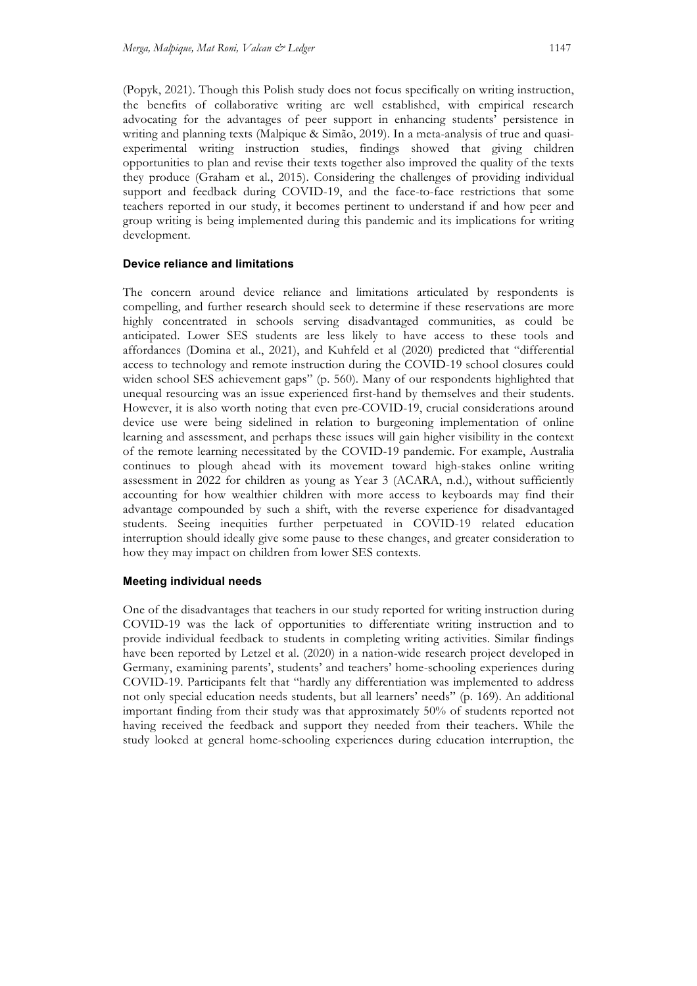(Popyk, 2021). Though this Polish study does not focus specifically on writing instruction, the benefits of collaborative writing are well established, with empirical research advocating for the advantages of peer support in enhancing students' persistence in writing and planning texts (Malpique & Simão, 2019). In a meta-analysis of true and quasiexperimental writing instruction studies, findings showed that giving children opportunities to plan and revise their texts together also improved the quality of the texts they produce (Graham et al., 2015). Considering the challenges of providing individual support and feedback during COVID-19, and the face-to-face restrictions that some teachers reported in our study, it becomes pertinent to understand if and how peer and group writing is being implemented during this pandemic and its implications for writing development.

### **Device reliance and limitations**

The concern around device reliance and limitations articulated by respondents is compelling, and further research should seek to determine if these reservations are more highly concentrated in schools serving disadvantaged communities, as could be anticipated. Lower SES students are less likely to have access to these tools and affordances (Domina et al., 2021), and Kuhfeld et al (2020) predicted that "differential access to technology and remote instruction during the COVID-19 school closures could widen school SES achievement gaps" (p. 560). Many of our respondents highlighted that unequal resourcing was an issue experienced first-hand by themselves and their students. However, it is also worth noting that even pre-COVID-19, crucial considerations around device use were being sidelined in relation to burgeoning implementation of online learning and assessment, and perhaps these issues will gain higher visibility in the context of the remote learning necessitated by the COVID-19 pandemic. For example, Australia continues to plough ahead with its movement toward high-stakes online writing assessment in 2022 for children as young as Year 3 (ACARA, n.d.), without sufficiently accounting for how wealthier children with more access to keyboards may find their advantage compounded by such a shift, with the reverse experience for disadvantaged students. Seeing inequities further perpetuated in COVID-19 related education interruption should ideally give some pause to these changes, and greater consideration to how they may impact on children from lower SES contexts.

#### **Meeting individual needs**

One of the disadvantages that teachers in our study reported for writing instruction during COVID-19 was the lack of opportunities to differentiate writing instruction and to provide individual feedback to students in completing writing activities. Similar findings have been reported by Letzel et al. (2020) in a nation-wide research project developed in Germany, examining parents', students' and teachers' home-schooling experiences during COVID-19. Participants felt that "hardly any differentiation was implemented to address not only special education needs students, but all learners' needs" (p. 169). An additional important finding from their study was that approximately 50% of students reported not having received the feedback and support they needed from their teachers. While the study looked at general home-schooling experiences during education interruption, the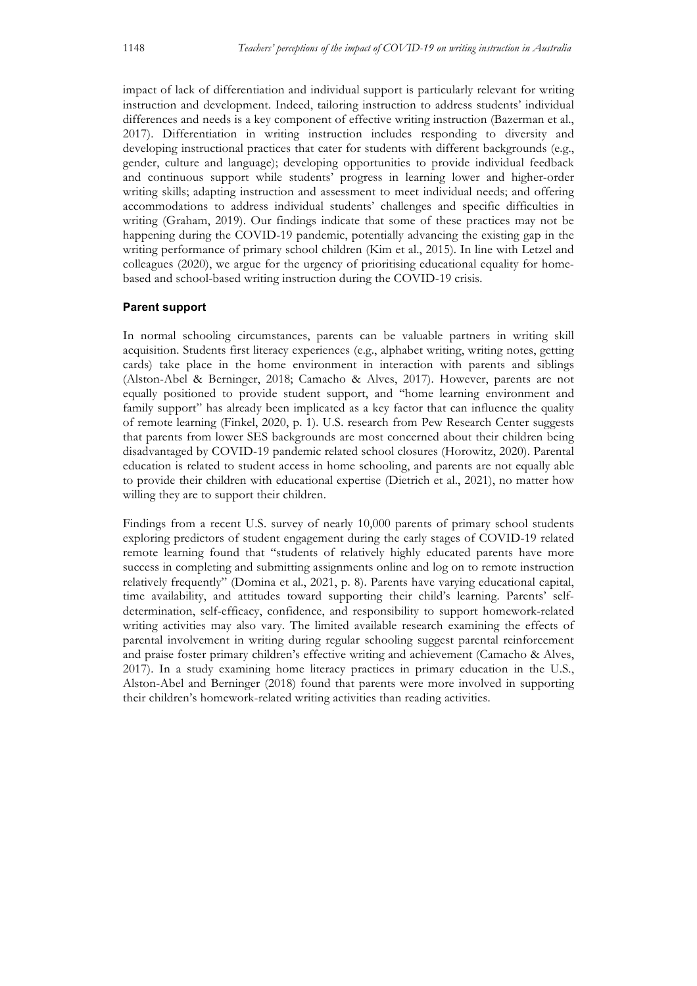impact of lack of differentiation and individual support is particularly relevant for writing instruction and development. Indeed, tailoring instruction to address students' individual differences and needs is a key component of effective writing instruction (Bazerman et al., 2017). Differentiation in writing instruction includes responding to diversity and developing instructional practices that cater for students with different backgrounds (e.g., gender, culture and language); developing opportunities to provide individual feedback and continuous support while students' progress in learning lower and higher-order writing skills; adapting instruction and assessment to meet individual needs; and offering accommodations to address individual students' challenges and specific difficulties in writing (Graham, 2019). Our findings indicate that some of these practices may not be happening during the COVID-19 pandemic, potentially advancing the existing gap in the writing performance of primary school children (Kim et al., 2015). In line with Letzel and colleagues (2020), we argue for the urgency of prioritising educational equality for homebased and school-based writing instruction during the COVID-19 crisis.

#### **Parent support**

In normal schooling circumstances, parents can be valuable partners in writing skill acquisition. Students first literacy experiences (e.g., alphabet writing, writing notes, getting cards) take place in the home environment in interaction with parents and siblings (Alston-Abel & Berninger, 2018; Camacho & Alves, 2017). However, parents are not equally positioned to provide student support, and "home learning environment and family support" has already been implicated as a key factor that can influence the quality of remote learning (Finkel, 2020, p. 1). U.S. research from Pew Research Center suggests that parents from lower SES backgrounds are most concerned about their children being disadvantaged by COVID-19 pandemic related school closures (Horowitz, 2020). Parental education is related to student access in home schooling, and parents are not equally able to provide their children with educational expertise (Dietrich et al., 2021), no matter how willing they are to support their children.

Findings from a recent U.S. survey of nearly 10,000 parents of primary school students exploring predictors of student engagement during the early stages of COVID-19 related remote learning found that "students of relatively highly educated parents have more success in completing and submitting assignments online and log on to remote instruction relatively frequently" (Domina et al., 2021, p. 8). Parents have varying educational capital, time availability, and attitudes toward supporting their child's learning. Parents' selfdetermination, self-efficacy, confidence, and responsibility to support homework-related writing activities may also vary. The limited available research examining the effects of parental involvement in writing during regular schooling suggest parental reinforcement and praise foster primary children's effective writing and achievement (Camacho & Alves, 2017). In a study examining home literacy practices in primary education in the U.S., Alston-Abel and Berninger (2018) found that parents were more involved in supporting their children's homework-related writing activities than reading activities.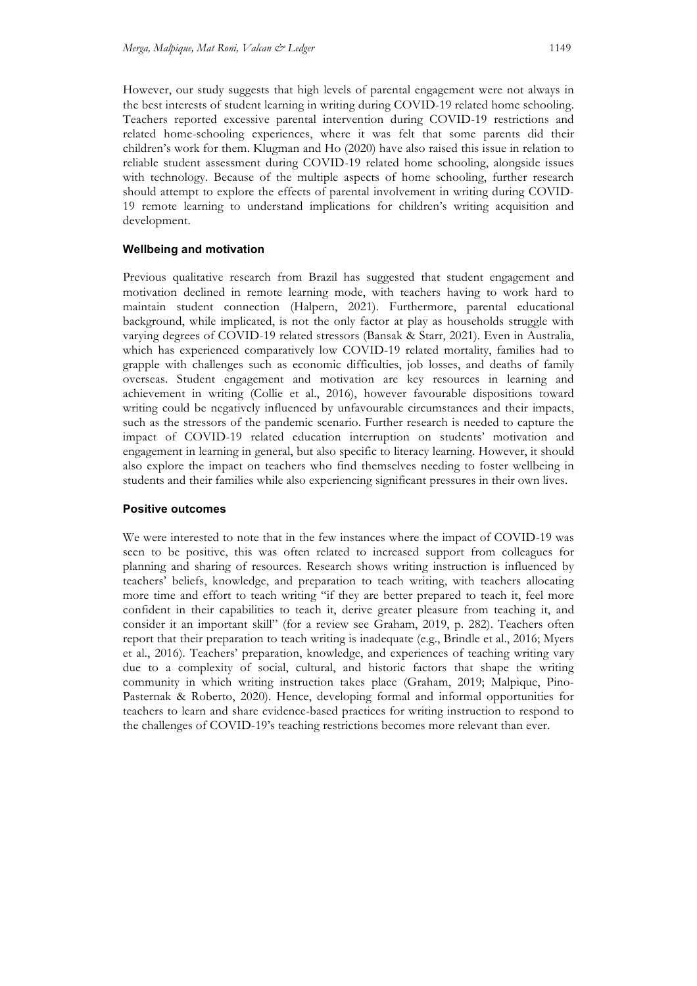However, our study suggests that high levels of parental engagement were not always in the best interests of student learning in writing during COVID-19 related home schooling. Teachers reported excessive parental intervention during COVID-19 restrictions and related home-schooling experiences, where it was felt that some parents did their children's work for them. Klugman and Ho (2020) have also raised this issue in relation to reliable student assessment during COVID-19 related home schooling, alongside issues with technology. Because of the multiple aspects of home schooling, further research should attempt to explore the effects of parental involvement in writing during COVID-19 remote learning to understand implications for children's writing acquisition and development.

#### **Wellbeing and motivation**

Previous qualitative research from Brazil has suggested that student engagement and motivation declined in remote learning mode, with teachers having to work hard to maintain student connection (Halpern, 2021). Furthermore, parental educational background, while implicated, is not the only factor at play as households struggle with varying degrees of COVID-19 related stressors (Bansak & Starr, 2021). Even in Australia, which has experienced comparatively low COVID-19 related mortality, families had to grapple with challenges such as economic difficulties, job losses, and deaths of family overseas. Student engagement and motivation are key resources in learning and achievement in writing (Collie et al., 2016), however favourable dispositions toward writing could be negatively influenced by unfavourable circumstances and their impacts, such as the stressors of the pandemic scenario. Further research is needed to capture the impact of COVID-19 related education interruption on students' motivation and engagement in learning in general, but also specific to literacy learning. However, it should also explore the impact on teachers who find themselves needing to foster wellbeing in students and their families while also experiencing significant pressures in their own lives.

#### **Positive outcomes**

We were interested to note that in the few instances where the impact of COVID-19 was seen to be positive, this was often related to increased support from colleagues for planning and sharing of resources. Research shows writing instruction is influenced by teachers' beliefs, knowledge, and preparation to teach writing, with teachers allocating more time and effort to teach writing "if they are better prepared to teach it, feel more confident in their capabilities to teach it, derive greater pleasure from teaching it, and consider it an important skill" (for a review see Graham, 2019, p. 282). Teachers often report that their preparation to teach writing is inadequate (e.g., Brindle et al., 2016; Myers et al., 2016). Teachers' preparation, knowledge, and experiences of teaching writing vary due to a complexity of social, cultural, and historic factors that shape the writing community in which writing instruction takes place (Graham, 2019; Malpique, Pino-Pasternak & Roberto, 2020). Hence, developing formal and informal opportunities for teachers to learn and share evidence-based practices for writing instruction to respond to the challenges of COVID-19's teaching restrictions becomes more relevant than ever.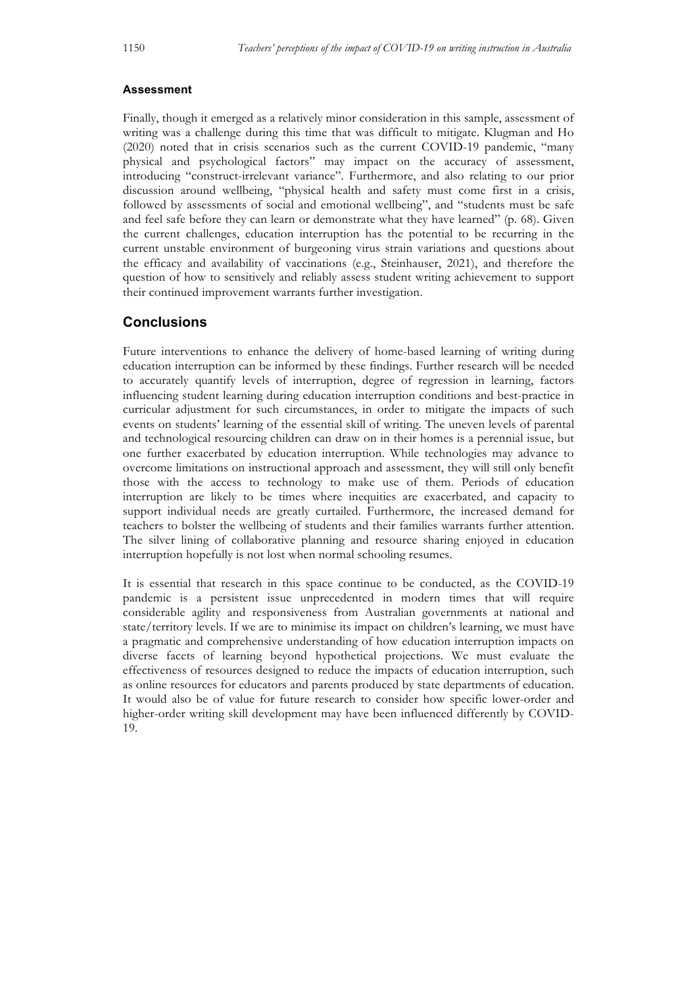#### **Assessment**

Finally, though it emerged as a relatively minor consideration in this sample, assessment of writing was a challenge during this time that was difficult to mitigate. Klugman and Ho (2020) noted that in crisis scenarios such as the current COVID-19 pandemic, "many physical and psychological factors" may impact on the accuracy of assessment, introducing "construct-irrelevant variance". Furthermore, and also relating to our prior discussion around wellbeing, "physical health and safety must come first in a crisis, followed by assessments of social and emotional wellbeing", and "students must be safe and feel safe before they can learn or demonstrate what they have learned" (p. 68). Given the current challenges, education interruption has the potential to be recurring in the current unstable environment of burgeoning virus strain variations and questions about the efficacy and availability of vaccinations (e.g., Steinhauser, 2021), and therefore the question of how to sensitively and reliably assess student writing achievement to support their continued improvement warrants further investigation.

### **Conclusions**

Future interventions to enhance the delivery of home-based learning of writing during education interruption can be informed by these findings. Further research will be needed to accurately quantify levels of interruption, degree of regression in learning, factors influencing student learning during education interruption conditions and best-practice in curricular adjustment for such circumstances, in order to mitigate the impacts of such events on students' learning of the essential skill of writing. The uneven levels of parental and technological resourcing children can draw on in their homes is a perennial issue, but one further exacerbated by education interruption. While technologies may advance to overcome limitations on instructional approach and assessment, they will still only benefit those with the access to technology to make use of them. Periods of education interruption are likely to be times where inequities are exacerbated, and capacity to support individual needs are greatly curtailed. Furthermore, the increased demand for teachers to bolster the wellbeing of students and their families warrants further attention. The silver lining of collaborative planning and resource sharing enjoyed in education interruption hopefully is not lost when normal schooling resumes.

It is essential that research in this space continue to be conducted, as the COVID-19 pandemic is a persistent issue unprecedented in modern times that will require considerable agility and responsiveness from Australian governments at national and state/territory levels. If we are to minimise its impact on children's learning, we must have a pragmatic and comprehensive understanding of how education interruption impacts on diverse facets of learning beyond hypothetical projections. We must evaluate the effectiveness of resources designed to reduce the impacts of education interruption, such as online resources for educators and parents produced by state departments of education. It would also be of value for future research to consider how specific lower-order and higher-order writing skill development may have been influenced differently by COVID-19.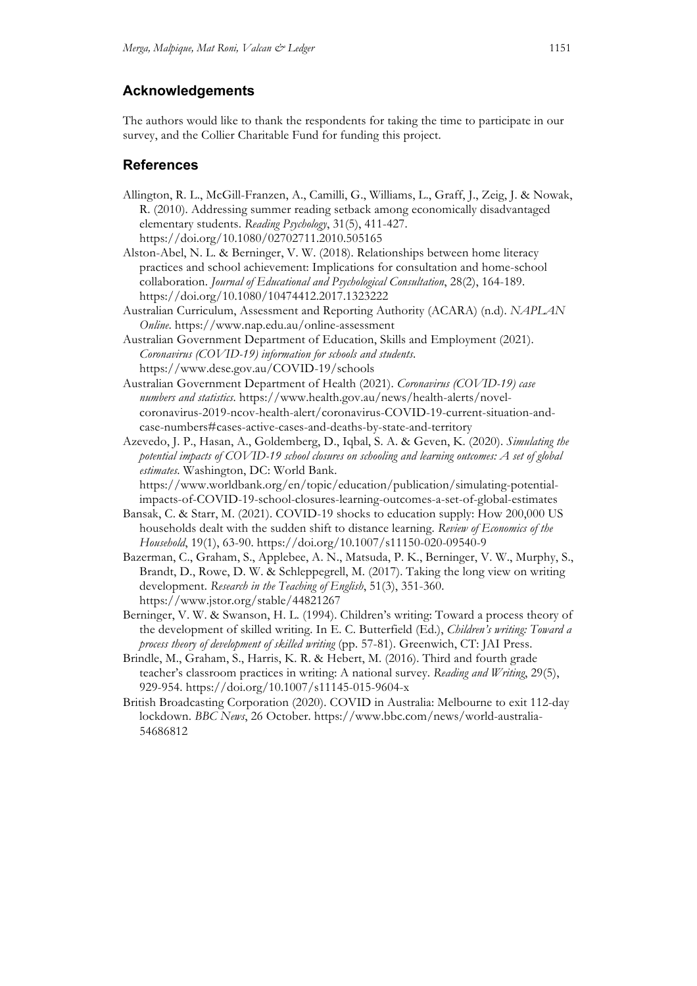## **Acknowledgements**

The authors would like to thank the respondents for taking the time to participate in our survey, and the Collier Charitable Fund for funding this project.

### **References**

- Allington, R. L., McGill-Franzen, A., Camilli, G., Williams, L., Graff, J., Zeig, J. & Nowak, R. (2010). Addressing summer reading setback among economically disadvantaged elementary students. *Reading Psychology*, 31(5), 411-427. https://doi.org/10.1080/02702711.2010.505165
- Alston-Abel, N. L. & Berninger, V. W. (2018). Relationships between home literacy practices and school achievement: Implications for consultation and home-school collaboration. *Journal of Educational and Psychological Consultation*, 28(2), 164-189. https://doi.org/10.1080/10474412.2017.1323222
- Australian Curriculum, Assessment and Reporting Authority (ACARA) (n.d). *NAPLAN Online*. https://www.nap.edu.au/online-assessment
- Australian Government Department of Education, Skills and Employment (2021). *Coronavirus (COVID-19) information for schools and students*. https://www.dese.gov.au/COVID-19/schools
- Australian Government Department of Health (2021). *Coronavirus (COVID-19) case numbers and statistics*. https://www.health.gov.au/news/health-alerts/novelcoronavirus-2019-ncov-health-alert/coronavirus-COVID-19-current-situation-andcase-numbers#cases-active-cases-and-deaths-by-state-and-territory
- Azevedo, J. P., Hasan, A., Goldemberg, D., Iqbal, S. A. & Geven, K. (2020). *Simulating the potential impacts of COVID-19 school closures on schooling and learning outcomes: A set of global estimates*. Washington, DC: World Bank. https://www.worldbank.org/en/topic/education/publication/simulating-potential-

impacts-of-COVID-19-school-closures-learning-outcomes-a-set-of-global-estimates

- Bansak, C. & Starr, M. (2021). COVID-19 shocks to education supply: How 200,000 US households dealt with the sudden shift to distance learning. *Review of Economics of the Household*, 19(1), 63-90. https://doi.org/10.1007/s11150-020-09540-9
- Bazerman, C., Graham, S., Applebee, A. N., Matsuda, P. K., Berninger, V. W., Murphy, S., Brandt, D., Rowe, D. W. & Schleppegrell, M. (2017). Taking the long view on writing development. *Research in the Teaching of English*, 51(3), 351-360. https://www.jstor.org/stable/44821267
- Berninger, V. W. & Swanson, H. L. (1994). Children's writing: Toward a process theory of the development of skilled writing. In E. C. Butterfield (Ed.), *Children's writing: Toward a process theory of development of skilled writing* (pp. 57-81). Greenwich, CT: JAI Press.
- Brindle, M., Graham, S., Harris, K. R. & Hebert, M. (2016). Third and fourth grade teacher's classroom practices in writing: A national survey. *Reading and Writing*, 29(5), 929-954. https://doi.org/10.1007/s11145-015-9604-x
- British Broadcasting Corporation (2020). COVID in Australia: Melbourne to exit 112-day lockdown. *BBC News*, 26 October. https://www.bbc.com/news/world-australia-54686812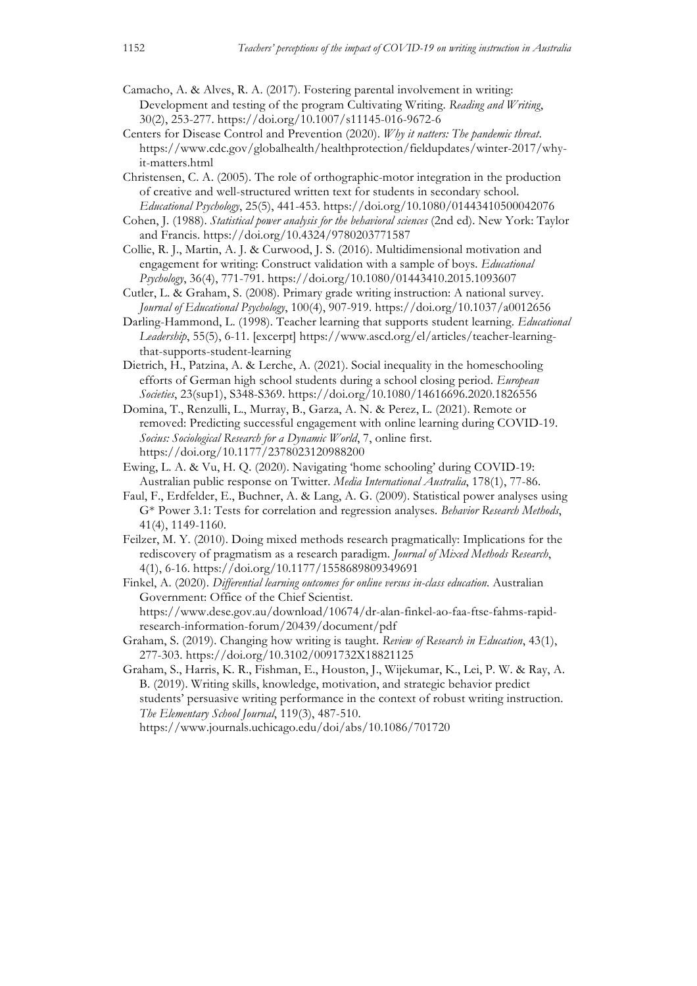Camacho, A. & Alves, R. A. (2017). Fostering parental involvement in writing: Development and testing of the program Cultivating Writing. *Reading and Writing*, 30(2), 253-277. https://doi.org/10.1007/s11145-016-9672-6

- Centers for Disease Control and Prevention (2020). *Why it natters: The pandemic threat*. https://www.cdc.gov/globalhealth/healthprotection/fieldupdates/winter-2017/whyit-matters.html
- Christensen, C. A. (2005). The role of orthographic-motor integration in the production of creative and well-structured written text for students in secondary school. *Educational Psychology*, 25(5), 441-453. https://doi.org/10.1080/01443410500042076
- Cohen, J. (1988). *Statistical power analysis for the behavioral sciences* (2nd ed). New York: Taylor and Francis. https://doi.org/10.4324/9780203771587
- Collie, R. J., Martin, A. J. & Curwood, J. S. (2016). Multidimensional motivation and engagement for writing: Construct validation with a sample of boys. *Educational Psychology*, 36(4), 771-791. https://doi.org/10.1080/01443410.2015.1093607
- Cutler, L. & Graham, S. (2008). Primary grade writing instruction: A national survey. *Journal of Educational Psychology*, 100(4), 907-919. https://doi.org/10.1037/a0012656
- Darling-Hammond, L. (1998). Teacher learning that supports student learning. *Educational Leadership*, 55(5), 6-11. [excerpt] https://www.ascd.org/el/articles/teacher-learningthat-supports-student-learning
- Dietrich, H., Patzina, A. & Lerche, A. (2021). Social inequality in the homeschooling efforts of German high school students during a school closing period. *European Societies*, 23(sup1), S348-S369. https://doi.org/10.1080/14616696.2020.1826556
- Domina, T., Renzulli, L., Murray, B., Garza, A. N. & Perez, L. (2021). Remote or removed: Predicting successful engagement with online learning during COVID-19. *Socius: Sociological Research for a Dynamic World*, 7, online first. https://doi.org/10.1177/2378023120988200
- Ewing, L. A. & Vu, H. Q. (2020). Navigating 'home schooling' during COVID-19: Australian public response on Twitter. *Media International Australia*, 178(1), 77-86.
- Faul, F., Erdfelder, E., Buchner, A. & Lang, A. G. (2009). Statistical power analyses using G\* Power 3.1: Tests for correlation and regression analyses. *Behavior Research Methods*, 41(4), 1149-1160.
- Feilzer, M. Y. (2010). Doing mixed methods research pragmatically: Implications for the rediscovery of pragmatism as a research paradigm. *Journal of Mixed Methods Research*, 4(1), 6-16. https://doi.org/10.1177/1558689809349691
- Finkel, A. (2020). *Differential learning outcomes for online versus in-class education*. Australian Government: Office of the Chief Scientist. https://www.dese.gov.au/download/10674/dr-alan-finkel-ao-faa-ftse-fahms-rapidresearch-information-forum/20439/document/pdf
- Graham, S. (2019). Changing how writing is taught. *Review of Research in Education*, 43(1), 277-303. https://doi.org/10.3102/0091732X18821125
- Graham, S., Harris, K. R., Fishman, E., Houston, J., Wijekumar, K., Lei, P. W. & Ray, A. B. (2019). Writing skills, knowledge, motivation, and strategic behavior predict students' persuasive writing performance in the context of robust writing instruction. *The Elementary School Journal*, 119(3), 487-510.

https://www.journals.uchicago.edu/doi/abs/10.1086/701720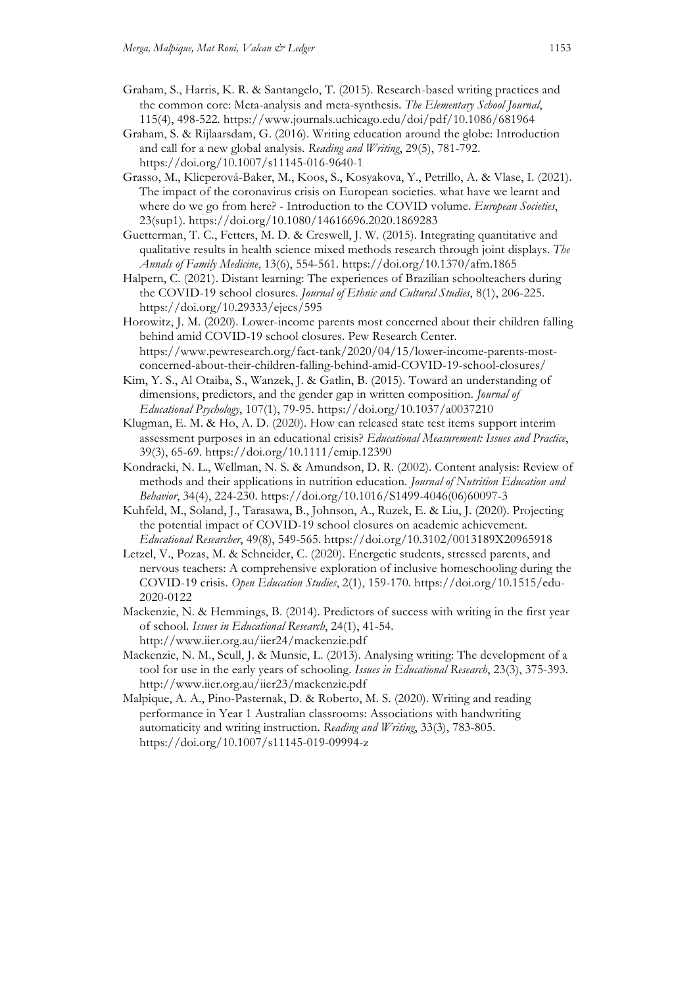- Graham, S., Harris, K. R. & Santangelo, T. (2015). Research-based writing practices and the common core: Meta-analysis and meta-synthesis. *The Elementary School Journal*, 115(4), 498-522. https://www.journals.uchicago.edu/doi/pdf/10.1086/681964
- Graham, S. & Rijlaarsdam, G. (2016). Writing education around the globe: Introduction and call for a new global analysis. *Reading and Writing*, 29(5), 781-792. https://doi.org/10.1007/s11145-016-9640-1
- Grasso, M., Klicperová-Baker, M., Koos, S., Kosyakova, Y., Petrillo, A. & Vlase, I. (2021). The impact of the coronavirus crisis on European societies. what have we learnt and where do we go from here? - Introduction to the COVID volume. *European Societies*, 23(sup1). https://doi.org/10.1080/14616696.2020.1869283
- Guetterman, T. C., Fetters, M. D. & Creswell, J. W. (2015). Integrating quantitative and qualitative results in health science mixed methods research through joint displays. *The Annals of Family Medicine*, 13(6), 554-561. https://doi.org/10.1370/afm.1865
- Halpern, C. (2021). Distant learning: The experiences of Brazilian schoolteachers during the COVID-19 school closures. *Journal of Ethnic and Cultural Studies*, 8(1), 206-225. https://doi.org/10.29333/ejecs/595
- Horowitz, J. M. (2020). Lower-income parents most concerned about their children falling behind amid COVID-19 school closures. Pew Research Center. https://www.pewresearch.org/fact-tank/2020/04/15/lower-income-parents-mostconcerned-about-their-children-falling-behind-amid-COVID-19-school-closures/
- Kim, Y. S., Al Otaiba, S., Wanzek, J. & Gatlin, B. (2015). Toward an understanding of dimensions, predictors, and the gender gap in written composition. *Journal of Educational Psychology*, 107(1), 79-95. https://doi.org/10.1037/a0037210
- Klugman, E. M. & Ho, A. D. (2020). How can released state test items support interim assessment purposes in an educational crisis? *Educational Measurement: Issues and Practice*, 39(3), 65-69. https://doi.org/10.1111/emip.12390
- Kondracki, N. L., Wellman, N. S. & Amundson, D. R. (2002). Content analysis: Review of methods and their applications in nutrition education. *Journal of Nutrition Education and Behavior*, 34(4), 224-230. https://doi.org/10.1016/S1499-4046(06)60097-3
- Kuhfeld, M., Soland, J., Tarasawa, B., Johnson, A., Ruzek, E. & Liu, J. (2020). Projecting the potential impact of COVID-19 school closures on academic achievement. *Educational Researcher*, 49(8), 549-565. https://doi.org/10.3102/0013189X20965918
- Letzel, V., Pozas, M. & Schneider, C. (2020). Energetic students, stressed parents, and nervous teachers: A comprehensive exploration of inclusive homeschooling during the COVID-19 crisis. *Open Education Studies*, 2(1), 159-170. https://doi.org/10.1515/edu-2020-0122
- Mackenzie, N. & Hemmings, B. (2014). Predictors of success with writing in the first year of school. *Issues in Educational Research*, 24(1), 41-54. http://www.iier.org.au/iier24/mackenzie.pdf
- Mackenzie, N. M., Scull, J. & Munsie, L. (2013). Analysing writing: The development of a tool for use in the early years of schooling. *Issues in Educational Research*, 23(3), 375-393. http://www.iier.org.au/iier23/mackenzie.pdf
- Malpique, A. A., Pino-Pasternak, D. & Roberto, M. S. (2020). Writing and reading performance in Year 1 Australian classrooms: Associations with handwriting automaticity and writing instruction. *Reading and Writing*, 33(3), 783-805. https://doi.org/10.1007/s11145-019-09994-z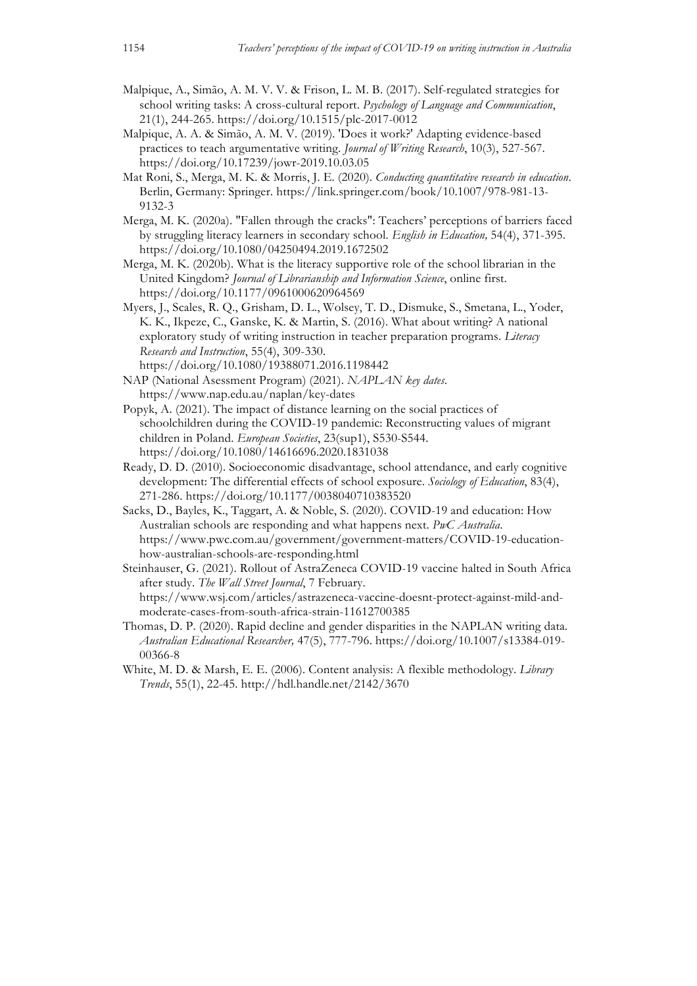- Malpique, A., Simão, A. M. V. V. & Frison, L. M. B. (2017). Self-regulated strategies for school writing tasks: A cross-cultural report. *Psychology of Language and Communication*, 21(1), 244-265. https://doi.org/10.1515/plc-2017-0012
- Malpique, A. A. & Simão, A. M. V. (2019). 'Does it work?' Adapting evidence-based practices to teach argumentative writing. *Journal of Writing Research*, 10(3), 527-567. https://doi.org/10.17239/jowr-2019.10.03.05
- Mat Roni, S., Merga, M. K. & Morris, J. E. (2020). *Conducting quantitative research in education*. Berlin, Germany: Springer. https://link.springer.com/book/10.1007/978-981-13- 9132-3
- Merga, M. K. (2020a). "Fallen through the cracks": Teachers' perceptions of barriers faced by struggling literacy learners in secondary school. *English in Education,* 54(4), 371-395. https://doi.org/10.1080/04250494.2019.1672502
- Merga, M. K. (2020b). What is the literacy supportive role of the school librarian in the United Kingdom? *Journal of Librarianship and Information Science*, online first. https://doi.org/10.1177/0961000620964569
- Myers, J., Scales, R. Q., Grisham, D. L., Wolsey, T. D., Dismuke, S., Smetana, L., Yoder, K. K., Ikpeze, C., Ganske, K. & Martin, S. (2016). What about writing? A national exploratory study of writing instruction in teacher preparation programs. *Literacy Research and Instruction*, 55(4), 309-330.
- https://doi.org/10.1080/19388071.2016.1198442
- NAP (National Asessment Program) (2021). *NAPLAN key dates*. https://www.nap.edu.au/naplan/key-dates
- Popyk, A. (2021). The impact of distance learning on the social practices of schoolchildren during the COVID-19 pandemic: Reconstructing values of migrant children in Poland. *European Societies*, 23(sup1), S530-S544. https://doi.org/10.1080/14616696.2020.1831038
- Ready, D. D. (2010). Socioeconomic disadvantage, school attendance, and early cognitive development: The differential effects of school exposure. *Sociology of Education*, 83(4), 271-286. https://doi.org/10.1177/0038040710383520
- Sacks, D., Bayles, K., Taggart, A. & Noble, S. (2020). COVID-19 and education: How Australian schools are responding and what happens next. *PwC Australia*. https://www.pwc.com.au/government/government-matters/COVID-19-educationhow-australian-schools-are-responding.html

Steinhauser, G. (2021). Rollout of AstraZeneca COVID-19 vaccine halted in South Africa after study. *The Wall Street Journal*, 7 February. https://www.wsj.com/articles/astrazeneca-vaccine-doesnt-protect-against-mild-andmoderate-cases-from-south-africa-strain-11612700385

- Thomas, D. P. (2020). Rapid decline and gender disparities in the NAPLAN writing data. *Australian Educational Researcher,* 47(5), 777-796. https://doi.org/10.1007/s13384-019- 00366-8
- White, M. D. & Marsh, E. E. (2006). Content analysis: A flexible methodology. *Library Trends*, 55(1), 22-45. http://hdl.handle.net/2142/3670